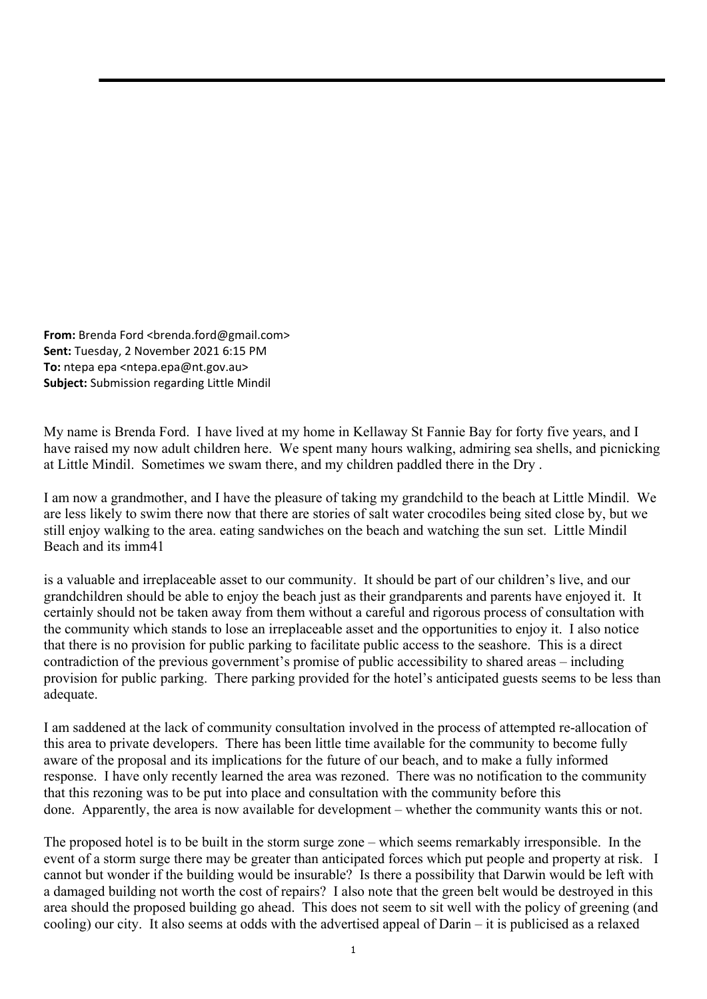**From:** Brenda Ford <br enda.ford@gmail.com> **Sent:** Tuesday, 2 November 2021 6:15 PM **To:** ntepa epa <ntepa.epa@nt.gov.au> **Subject:** Submission regarding Little Mindil

My name is Brenda Ford. I have lived at my home in Kellaway St Fannie Bay for forty five years, and I have raised my now adult children here. We spent many hours walking, admiring sea shells, and picnicking at Little Mindil. Sometimes we swam there, and my children paddled there in the Dry .

I am now a grandmother, and I have the pleasure of taking my grandchild to the beach at Little Mindil. We are less likely to swim there now that there are stories of salt water crocodiles being sited close by, but we still enjoy walking to the area. eating sandwiches on the beach and watching the sun set. Little Mindil Beach and its imm41

is a valuable and irreplaceable asset to our community. It should be part of our children's live, and our grandchildren should be able to enjoy the beach just as their grandparents and parents have enjoyed it. It certainly should not be taken away from them without a careful and rigorous process of consultation with the community which stands to lose an irreplaceable asset and the opportunities to enjoy it. I also notice that there is no provision for public parking to facilitate public access to the seashore. This is a direct contradiction of the previous government's promise of public accessibility to shared areas – including provision for public parking. There parking provided for the hotel's anticipated guests seems to be less than adequate.

I am saddened at the lack of community consultation involved in the process of attempted re-allocation of this area to private developers. There has been little time available for the community to become fully aware of the proposal and its implications for the future of our beach, and to make a fully informed response. I have only recently learned the area was rezoned. There was no notification to the community that this rezoning was to be put into place and consultation with the community before this done. Apparently, the area is now available for development – whether the community wants this or not.

The proposed hotel is to be built in the storm surge zone – which seems remarkably irresponsible. In the event of a storm surge there may be greater than anticipated forces which put people and property at risk. I cannot but wonder if the building would be insurable? Is there a possibility that Darwin would be left with a damaged building not worth the cost of repairs? I also note that the green belt would be destroyed in this area should the proposed building go ahead. This does not seem to sit well with the policy of greening (and cooling) our city. It also seems at odds with the advertised appeal of Darin – it is publicised as a relaxed